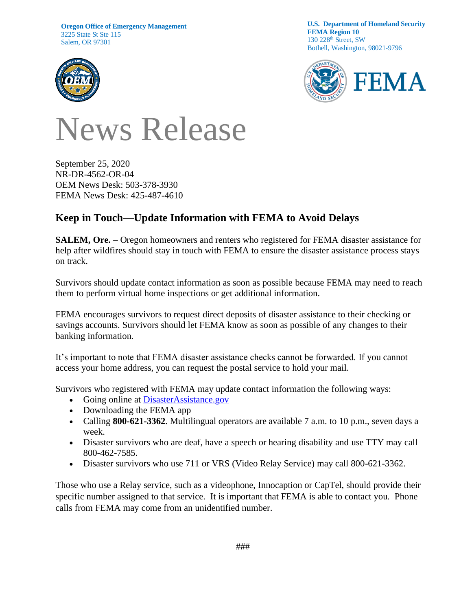**Oregon Office of Emergency Management** 3225 State St Ste 115 Salem, OR 97301



**U.S. Department of Homeland Security FEMA Region 10** 130 228<sup>th</sup> Street, SW Bothell, Washington, 98021-9796



## News Release

September 25, 2020 NR-DR-4562-OR-04 OEM News Desk: 503-378-3930 FEMA News Desk: 425-487-4610

## **Keep in Touch—Update Information with FEMA to Avoid Delays**

**SALEM, Ore.** – Oregon homeowners and renters who registered for FEMA disaster assistance for help after wildfires should stay in touch with FEMA to ensure the disaster assistance process stays on track.

Survivors should update contact information as soon as possible because FEMA may need to reach them to perform virtual home inspections or get additional information.

FEMA encourages survivors to request direct deposits of disaster assistance to their checking or savings accounts. Survivors should let FEMA know as soon as possible of any changes to their banking information.

It's important to note that FEMA disaster assistance checks cannot be forwarded. If you cannot access your home address, you can request the postal service to hold your mail.

Survivors who registered with FEMA may update contact information the following ways:

- Going online at [DisasterAssistance.gov](https://disasterassistance.gov/)
- Downloading the FEMA app
- Calling 800-621-3362. Multilingual operators are available 7 a.m. to 10 p.m., seven days a week.
- Disaster survivors who are deaf, have a speech or hearing disability and use TTY may call 800-462-7585.
- Disaster survivors who use 711 or VRS (Video Relay Service) may call 800-621-3362.

Those who use a Relay service, such as a videophone, Innocaption or CapTel, should provide their specific number assigned to that service. It is important that FEMA is able to contact you. Phone calls from FEMA may come from an unidentified number.